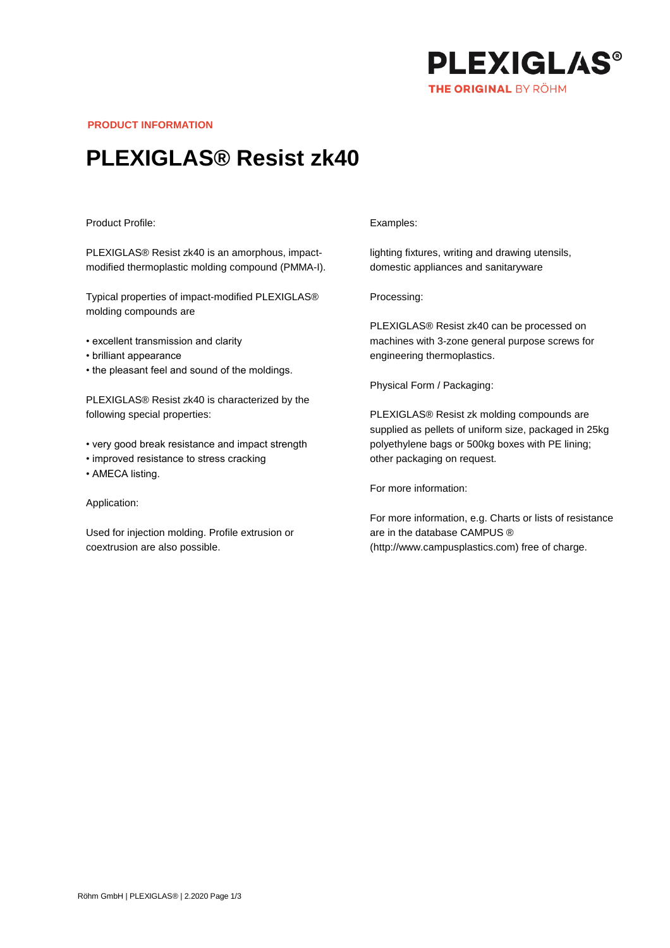

**PRODUCT INFORMATION**

# **PLEXIGLAS® Resist zk40**

### Product Profile:

PLEXIGLAS® Resist zk40 is an amorphous, impactmodified thermoplastic molding compound (PMMA-I).

Typical properties of impact-modified PLEXIGLAS® molding compounds are

- excellent transmission and clarity
- brilliant appearance
- the pleasant feel and sound of the moldings.

PLEXIGLAS® Resist zk40 is characterized by the following special properties:

- very good break resistance and impact strength
- improved resistance to stress cracking
- AMECA listing.

## Application:

Used for injection molding. Profile extrusion or coextrusion are also possible.

### Examples:

lighting fixtures, writing and drawing utensils, domestic appliances and sanitaryware

Processing:

PLEXIGLAS® Resist zk40 can be processed on machines with 3-zone general purpose screws for engineering thermoplastics.

Physical Form / Packaging:

PLEXIGLAS® Resist zk molding compounds are supplied as pellets of uniform size, packaged in 25kg polyethylene bags or 500kg boxes with PE lining; other packaging on request.

For more information:

For more information, e.g. Charts or lists of resistance are in the database CAMPUS ® (http://www.campusplastics.com) free of charge.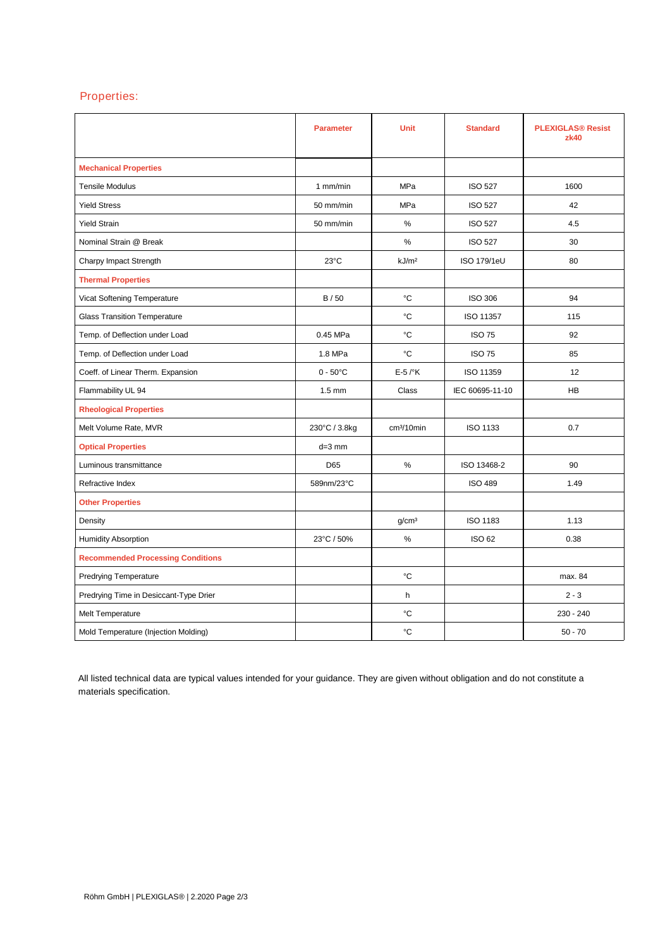# Properties:

|                                          | <b>Parameter</b>   | <b>Unit</b>            | <b>Standard</b>    | <b>PLEXIGLAS® Resist</b><br>zk40 |
|------------------------------------------|--------------------|------------------------|--------------------|----------------------------------|
| <b>Mechanical Properties</b>             |                    |                        |                    |                                  |
| <b>Tensile Modulus</b>                   | 1 mm/min           | MPa                    | <b>ISO 527</b>     | 1600                             |
| <b>Yield Stress</b>                      | 50 mm/min          | <b>MPa</b>             | <b>ISO 527</b>     | 42                               |
| <b>Yield Strain</b>                      | 50 mm/min          | %                      | <b>ISO 527</b>     | 4.5                              |
| Nominal Strain @ Break                   |                    | $\%$                   | <b>ISO 527</b>     | 30                               |
| Charpy Impact Strength                   | $23^{\circ}$ C     | kJ/m <sup>2</sup>      | <b>ISO 179/1eU</b> | 80                               |
| <b>Thermal Properties</b>                |                    |                        |                    |                                  |
| Vicat Softening Temperature              | B/50               | °C                     | <b>ISO 306</b>     | 94                               |
| <b>Glass Transition Temperature</b>      |                    | °C                     | ISO 11357          | 115                              |
| Temp. of Deflection under Load           | 0.45 MPa           | °C                     | <b>ISO 75</b>      | 92                               |
| Temp. of Deflection under Load           | 1.8 MPa            | °C                     | <b>ISO 75</b>      | 85                               |
| Coeff. of Linear Therm. Expansion        | $0 - 50^{\circ}$ C | $E-5$ / $\mathrm{K}$   | ISO 11359          | 12                               |
| Flammability UL 94                       | $1.5 \text{ mm}$   | Class                  | IEC 60695-11-10    | <b>HB</b>                        |
| <b>Rheological Properties</b>            |                    |                        |                    |                                  |
| Melt Volume Rate, MVR                    | 230°C / 3.8kg      | cm <sup>3</sup> /10min | <b>ISO 1133</b>    | 0.7                              |
| <b>Optical Properties</b>                | $d=3$ mm           |                        |                    |                                  |
| Luminous transmittance                   | D65                | $\%$                   | ISO 13468-2        | 90                               |
| Refractive Index                         | 589nm/23°C         |                        | <b>ISO 489</b>     | 1.49                             |
| <b>Other Properties</b>                  |                    |                        |                    |                                  |
| Density                                  |                    | g/cm <sup>3</sup>      | ISO 1183           | 1.13                             |
| Humidity Absorption                      | 23°C / 50%         | $\%$                   | <b>ISO 62</b>      | 0.38                             |
| <b>Recommended Processing Conditions</b> |                    |                        |                    |                                  |
| <b>Predrying Temperature</b>             |                    | °C                     |                    | max. 84                          |
| Predrying Time in Desiccant-Type Drier   |                    | h                      |                    | $2 - 3$                          |
| Melt Temperature                         |                    | °C                     |                    | 230 - 240                        |
| Mold Temperature (Injection Molding)     |                    | °C                     |                    | $50 - 70$                        |

All listed technical data are typical values intended for your guidance. They are given without obligation and do not constitute a materials specification.